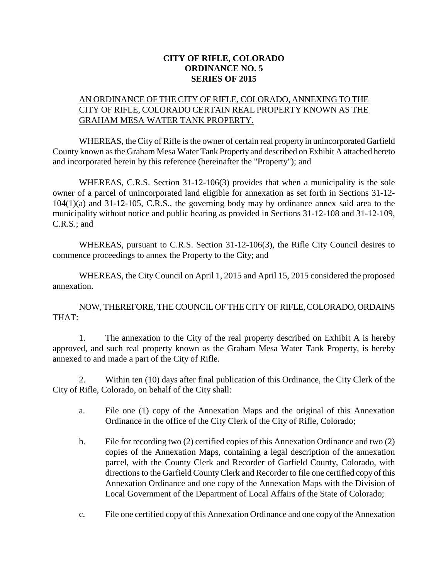## **CITY OF RIFLE, COLORADO ORDINANCE NO. 5 SERIES OF 2015**

## AN ORDINANCE OF THE CITY OF RIFLE, COLORADO, ANNEXING TO THE CITY OF RIFLE, COLORADO CERTAIN REAL PROPERTY KNOWN AS THE GRAHAM MESA WATER TANK PROPERTY.

WHEREAS, the City of Rifle is the owner of certain real property in unincorporated Garfield County known as the Graham Mesa Water Tank Property and described on Exhibit A attached hereto and incorporated herein by this reference (hereinafter the "Property"); and

WHEREAS, C.R.S. Section 31-12-106(3) provides that when a municipality is the sole owner of a parcel of unincorporated land eligible for annexation as set forth in Sections 31-12- 104(1)(a) and 31-12-105, C.R.S., the governing body may by ordinance annex said area to the municipality without notice and public hearing as provided in Sections 31-12-108 and 31-12-109, C.R.S.; and

WHEREAS, pursuant to C.R.S. Section 31-12-106(3), the Rifle City Council desires to commence proceedings to annex the Property to the City; and

WHEREAS, the City Council on April 1, 2015 and April 15, 2015 considered the proposed annexation.

NOW, THEREFORE, THE COUNCIL OF THE CITY OF RIFLE, COLORADO, ORDAINS THAT:

1. The annexation to the City of the real property described on Exhibit A is hereby approved, and such real property known as the Graham Mesa Water Tank Property, is hereby annexed to and made a part of the City of Rifle.

2. Within ten (10) days after final publication of this Ordinance, the City Clerk of the City of Rifle, Colorado, on behalf of the City shall:

- a. File one (1) copy of the Annexation Maps and the original of this Annexation Ordinance in the office of the City Clerk of the City of Rifle, Colorado;
- b. File for recording two (2) certified copies of this Annexation Ordinance and two (2) copies of the Annexation Maps, containing a legal description of the annexation parcel, with the County Clerk and Recorder of Garfield County, Colorado, with directions to the Garfield County Clerk and Recorder to file one certified copy of this Annexation Ordinance and one copy of the Annexation Maps with the Division of Local Government of the Department of Local Affairs of the State of Colorado;
- c. File one certified copy of this Annexation Ordinance and one copy of the Annexation